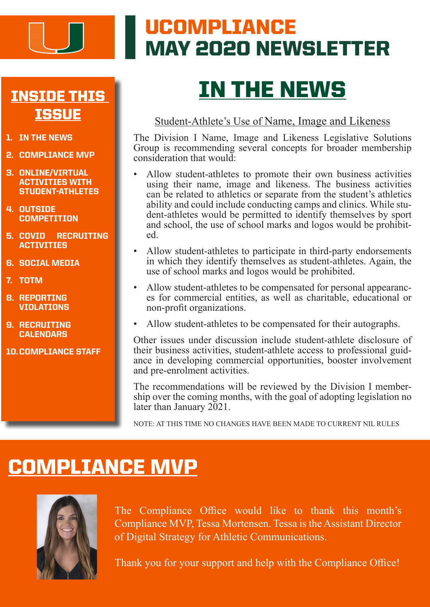

### UCOMPLIANCE MAY 2020 NEWSLETTER

### INSIDE THIS **ISSUE**

- 1. IN THE NEWS
- 2. COMPLIANCE MVP
- 3. ONLINE/VIRTUAL ACTIVITIES WITH STUDENT-ATHLETES
- 4. OUTSIDE **COMPETITION**
- 5. COVID RECRUITING **ACTIVITIES**
- 6. SOCIAL MEDIA
- 7. TOTM
- 8. REPORTING VIOLATIONS
- 9. RECRUITING **CALENDARS**
- 10.COMPLIANCE STAFF

# IN THE NEWS

#### Student-Athlete's Use of Name, Image and Likeness

The Division I Name, Image and Likeness Legislative Solutions Group is recommending several concepts for broader membership consideration that would:

- Allow student-athletes to promote their own business activities using their name, image and likeness. The business activities can be related to athletics or separate from the student's athletics ability and could include conducting camps and clinics. While student-athletes would be permitted to identify themselves by sport and school, the use of school marks and logos would be prohibit- ed.
- Allow student-athletes to participate in third-party endorsements in which they identify themselves as student-athletes. Again, the use of school marks and logos would be prohibited.
- Allow student-athletes to be compensated for personal appearanc- es for commercial entities, as well as charitable, educational or non-profit organizations.
- Allow student-athletes to be compensated for their autographs.

Other issues under discussion include student-athlete disclosure of their business activities, student-athlete access to professional guidance in developing commercial opportunities, booster involvement and pre-enrolment activities.

The recommendations will be reviewed by the Division I member-<br>ship over the coming months, with the goal of adopting legislation no later than January 2021.

NOTE: AT THIS TIME NO CHANGES HAVE BEEN MADE TO CURRENT NIL RULES

### COMPLIANCE MVP



The Compliance Office would like to thank this month's Compliance MVP, Tessa Mortensen. Tessa is the Assistant Director of Digital Strategy for Athletic Communications.

Thank you for your support and help with the Compliance Office!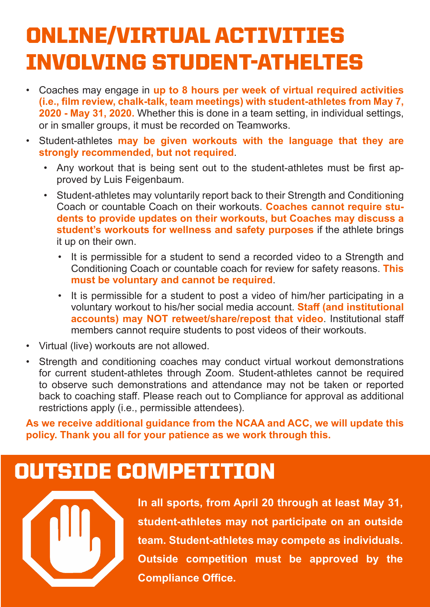# ONLINE/VIRTUAL ACTIVITIES INVOLVING STUDENT-ATHELTES

- Coaches may engage in **up to 8 hours per week of virtual required activities (i.e., film review, chalk-talk, team meetings) with student-athletes from May 7, 2020 - May 31, 2020.** Whether this is done in a team setting, in individual settings, or in smaller groups, it must be recorded on Teamworks.
- Student-athletes **may be given workouts with the language that they are strongly recommended, but not required**.
	- Any workout that is being sent out to the student-athletes must be first approved by Luis Feigenbaum.
	- Student-athletes may voluntarily report back to their Strength and Conditioning Coach or countable Coach on their workouts. **Coaches cannot require students to provide updates on their workouts, but Coaches may discuss a student's workouts for wellness and safety purposes** if the athlete brings it up on their own.
		- It is permissible for a student to send a recorded video to a Strength and Conditioning Coach or countable coach for review for safety reasons. **This must be voluntary and cannot be required**.
		- It is permissible for a student to post a video of him/her participating in a voluntary workout to his/her social media account. **Staff (and institutional accounts) may NOT retweet/share/repost that video**. Institutional staff members cannot require students to post videos of their workouts.
- Virtual (live) workouts are not allowed.
- Strength and conditioning coaches may conduct virtual workout demonstrations for current student-athletes through Zoom. Student-athletes cannot be required to observe such demonstrations and attendance may not be taken or reported back to coaching staff. Please reach out to Compliance for approval as additional restrictions apply (i.e., permissible attendees).

**As we receive additional guidance from the NCAA and ACC, we will update this policy. Thank you all for your patience as we work through this.** 

### OUTSIDE COMPETITION



**In all sports, from April 20 through at least May 31, student-athletes may not participate on an outside team. Student-athletes may compete as individuals. Outside competition must be approved by the Compliance Office.**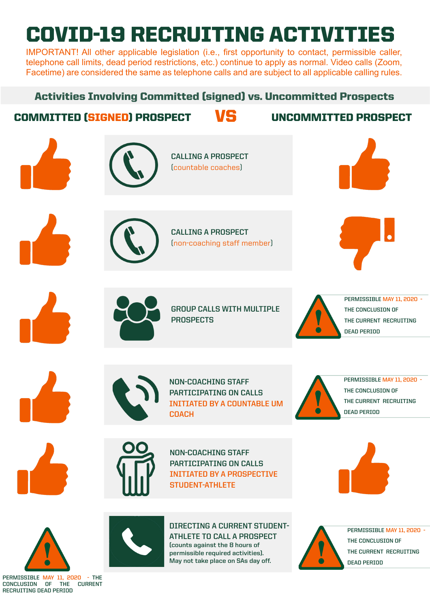# COVID-19 RECRUITING ACTIVITIES

IMPORTANT! All other applicable legislation (i.e., first opportunity to contact, permissible caller, telephone call limits, dead period restrictions, etc.) continue to apply as normal. Video calls (Zoom, Facetime) are considered the same as telephone calls and are subject to all applicable calling rules.

### Activities Involving Committed (signed) vs. Uncommitted Prospects

### COMMITTED (SIGNED) PROSPECT VS UNCOMMITTED PROSPECT



**PERMISSIBLE MAY 11, 2020 - THE CONCLUSION OF THE CURRENT RECRUITING DEAD PERIOD**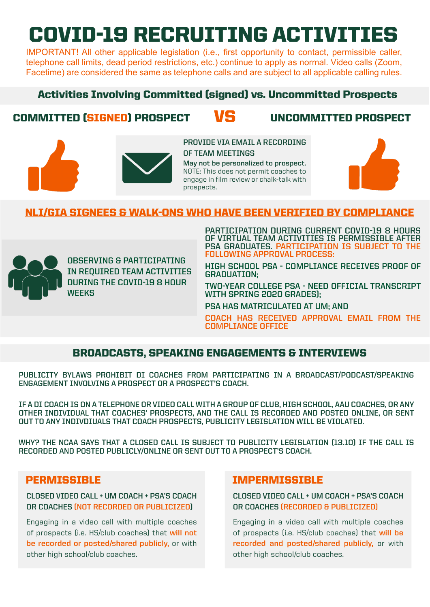# COVID-19 RECRUITING ACTIVITIES

IMPORTANT! All other applicable legislation (i.e., first opportunity to contact, permissible caller, telephone call limits, dead period restrictions, etc.) continue to apply as normal. Video calls (Zoom, Facetime) are considered the same as telephone calls and are subject to all applicable calling rules.

#### Activities Involving Committed (signed) vs. Uncommitted Prospects

### COMMITTED (SIGNED) PROSPECT VS UNCOMMITTED PROSPECT





**PROVIDE VIA EMAIL A RECORDING OF TEAM MEETINGS**

**May not be personalized to prospect.**  NOTE: This does not permit coaches to engage in film review or chalk-talk with prospects.



#### NLI/GIA SIGNEES & WALK-ONS WHO HAVE BEEN VERIFIED BY COMPLIANCE



**OBSERVING & PARTICIPATING IN REQUIRED TEAM ACTIVITIES DURING THE COVID-19 8 HOUR WEEKS**

**PARTICIPATION DURING CURRENT COVID-19 8 HOURS OF VIRTUAL TEAM ACTIVITIES IS PERMISSIBLE AFTER PSA GRADUATES. PARTICIPATION IS SUBJECT TO THE FOLLOWING APPROVAL PROCESS:**

**HIGH SCHOOL PSA - COMPLIANCE RECEIVES PROOF OF GRADUATION;**

**TWO-YEAR COLLEGE PSA - NEED OFFICIAL TRANSCRIPT WITH SPRING 2020 GRADES);** 

**PSA HAS MATRICULATED AT UM; AND** 

**COACH HAS RECEIVED APPROVAL EMAIL FROM THE COMPLIANCE OFFICE** 

#### BROADCASTS, SPEAKING ENGAGEMENTS & INTERVIEWS

**PUBLICITY BYLAWS PROHIBIT DI COACHES FROM PARTICIPATING IN A BROADCAST/PODCAST/SPEAKING ENGAGEMENT INVOLVING A PROSPECT OR A PROSPECT'S COACH.** 

**IF A DI COACH IS ON A TELEPHONE OR VIDEO CALL WITH A GROUP OF CLUB, HIGH SCHOOL, AAU COACHES, OR ANY OTHER INDIVIDUAL THAT COACHES' PROSPECTS, AND THE CALL IS RECORDED AND POSTED ONLINE, OR SENT OUT TO ANY INDIVDIUALS THAT COACH PROSPECTS, PUBLICITY LEGISLATION WILL BE VIOLATED.** 

**WHY? THE NCAA SAYS THAT A CLOSED CALL IS SUBJECT TO PUBLICITY LEGISLATION (13.10) IF THE CALL IS RECORDED AND POSTED PUBLICLY/ONLINE OR SENT OUT TO A PROSPECT'S COACH.** 

#### **PERMISSIBLE**

#### **CLOSED VIDEO CALL + UM COACH + PSA'S COACH OR COACHES (NOT RECORDED OR PUBLICIZED)**

Engaging in a video call with multiple coaches of prospects (i.e. HS/club coaches) that **will not be recorded or posted/shared publicly,** or with other high school/club coaches.

#### IMPERMISSIBLE

**CLOSED VIDEO CALL + UM COACH + PSA'S COACH OR COACHES (RECORDED & PUBLICIZED)** 

Engaging in a video call with multiple coaches of prospects (i.e. HS/club coaches) that **will be recorded and posted/shared publicly,** or with other high school/club coaches.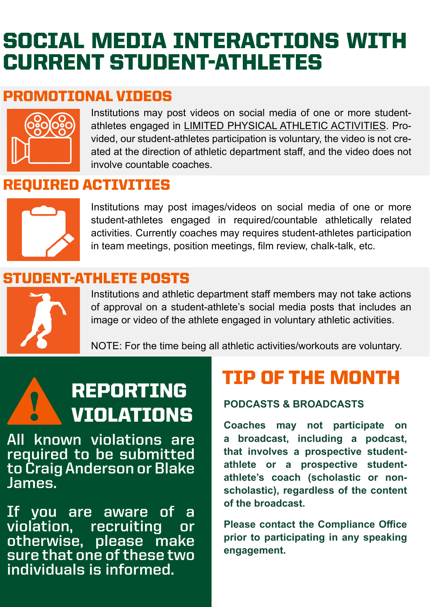## SOCIAL MEDIA INTERACTIONS WITH CURRENT STUDENT-ATHLETES

### PROMOTIONAL VIDEOS



Institutions may post videos on social media of one or more studentathletes engaged in LIMITED PHYSICAL ATHLETIC ACTIVITIES. Provided, our student-athletes participation is voluntary, the video is not created at the direction of athletic department staff, and the video does not involve countable coaches.

### REQUIRED ACTIVITIES



Institutions may post images/videos on social media of one or more student-athletes engaged in required/countable athletically related activities. Currently coaches may requires student-athletes participation in team meetings, position meetings, film review, chalk-talk, etc.

### STUDENT-ATHLETE POSTS



Institutions and athletic department staff members may not take actions of approval on a student-athlete's social media posts that includes an image or video of the athlete engaged in voluntary athletic activities.

NOTE: For the time being all athletic activities/workouts are voluntary.

# **REPORTING TIP OF THE MONTH VIOLATIONS**

**All known violations are required to be submitted to Craig Anderson or Blake James.** 

**If you are aware of a violation, recruiting or otherwise, please make sure that one of these two individuals is informed.** 

**Coaches may not participate on a broadcast, including a podcast, that involves a prospective studentathlete or a prospective studentathlete's coach (scholastic or nonscholastic), regardless of the content of the broadcast.** 

**Please contact the Compliance Office prior to participating in any speaking engagement.**